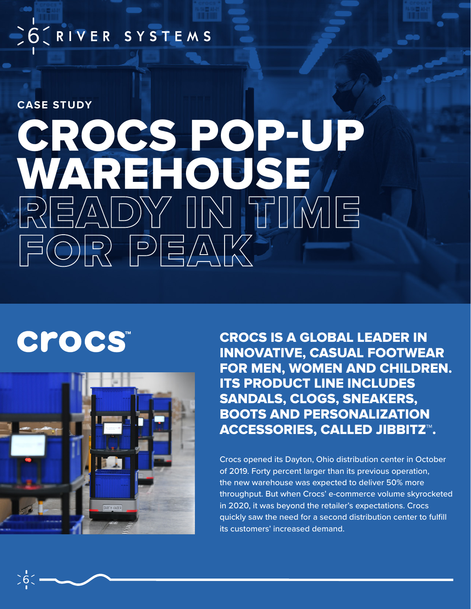## SO CRIVER SYSTEMS

**CASE STUDY**

# CROCS POP-UP WAREHOUSE READY IN TIME FOR PEAK

## **Crocs**



CROCS IS A GLOBAL LEADER IN INNOVATIVE, CASUAL FOOTWEAR FOR MEN, WOMEN AND CHILDREN. ITS PRODUCT LINE INCLUDES SANDALS, CLOGS, SNEAKERS, BOOTS AND PERSONALIZATION ACCESSORIES, CALLED JIBBITZ™.

Crocs opened its Dayton, Ohio distribution center in October of 2019. Forty percent larger than its previous operation, the new warehouse was expected to deliver 50% more throughput. But when Crocs' e-commerce volume skyrocketed in 2020, it was beyond the retailer's expectations. Crocs quickly saw the need for a second distribution center to fulfill its customers' increased demand.